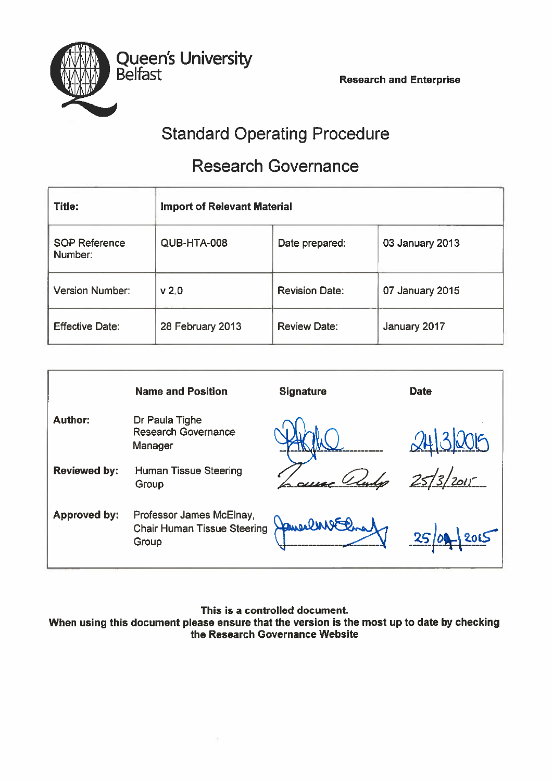

# Standard Operating Procedure

# Research Governance

| <b>Title:</b>                   | <b>Import of Relevant Material</b> |                       |                 |
|---------------------------------|------------------------------------|-----------------------|-----------------|
| <b>SOP Reference</b><br>Number: | QUB-HTA-008                        | Date prepared:        | 03 January 2013 |
| <b>Version Number:</b>          | v <sub>2.0</sub>                   | <b>Revision Date:</b> | 07 January 2015 |
| <b>Effective Date:</b>          | 28 February 2013                   | <b>Review Date:</b>   | January 2017    |

|                     | <b>Name and Position</b>                                                | <b>Signature</b> | <b>Date</b>            |
|---------------------|-------------------------------------------------------------------------|------------------|------------------------|
| <b>Author:</b>      | Dr Paula Tighe<br><b>Research Governance</b><br>Manager                 |                  |                        |
| <b>Reviewed by:</b> | <b>Human Tissue Steering</b><br>Group                                   |                  | 2015<br>$\overline{3}$ |
| <b>Approved by:</b> | Professor James McElnay,<br><b>Chair Human Tissue Steering</b><br>Group | Jane Cent El     | 25 0                   |

This is <sup>a</sup> controlled document.

When using this document please ensure that the version is the most up to date by checking the Research Governance Website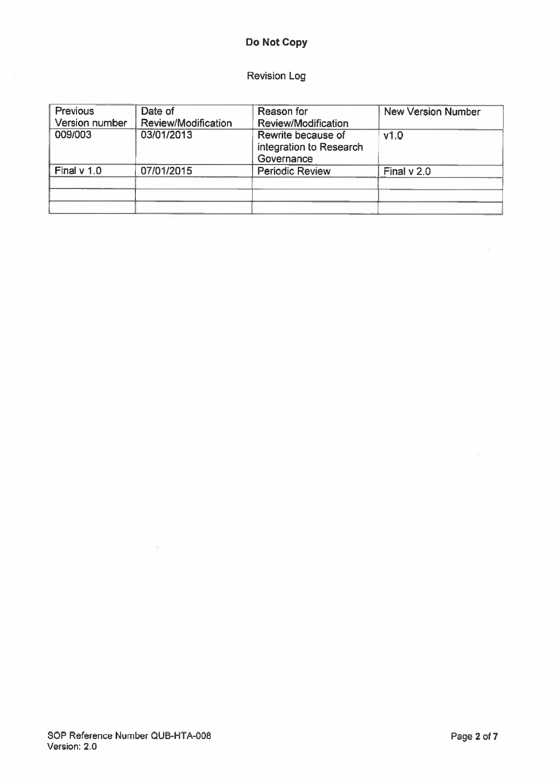# Do Not Copy

## Revision Log

| <b>Previous</b> | Date of             | Reason for                                                  | <b>New Version Number</b> |
|-----------------|---------------------|-------------------------------------------------------------|---------------------------|
| Version number  | Review/Modification | Review/Modification                                         |                           |
| 009/003         | 03/01/2013          | Rewrite because of<br>integration to Research<br>Governance | v1.0                      |
| Final $v$ 1.0   | 07/01/2015          | <b>Periodic Review</b>                                      | Final $v$ 2.0             |
|                 |                     |                                                             |                           |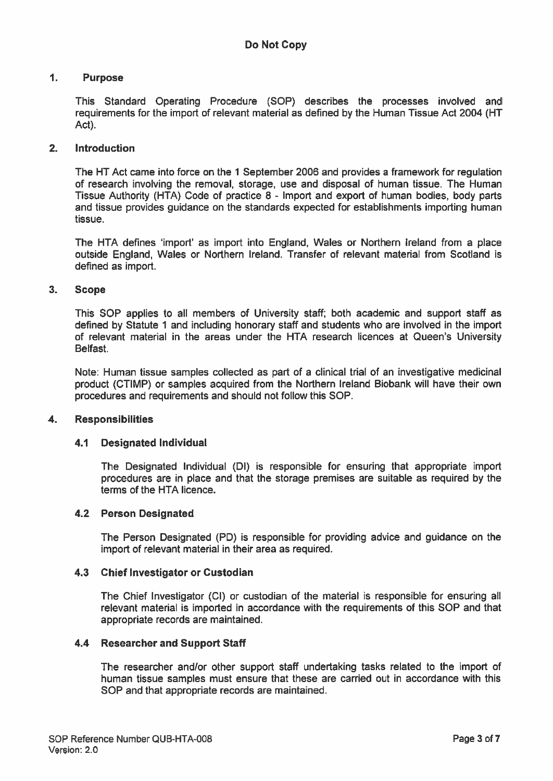## 1. Purpose

This Standard Operating Procedure (SOP) describes the processes involved and requirements for the import of relevant material as defined by the Human Tissue Act 2004 (HT Act).

## 2. Introduction

The HT Act came into force on the 1 September 2006 and provides <sup>a</sup> framework for regulation of research involving the removal, storage, use and disposal of human tissue. The Human Tissue Authority (HTA) Code of practice 8 - Import and expor<sup>t</sup> of human bodies, body parts and tissue provides guidance on the standards expected for establishments importing human tissue.

The HTA defines 'import' as import into England, Wales or Northern Ireland from <sup>a</sup> place outside England, Wales or Northern Ireland. Transfer of relevant material from Scotland is defined as import.

### 3. Scope

This SOP applies to all members of University staff; both academic and suppor<sup>t</sup> staff as defined by Statute 1 and including honorary staff and students who are involved in the import of relevant material in the areas under the HTA research licences at Queen's University Belfast.

Note: Human tissue samples collected as par<sup>t</sup> of <sup>a</sup> clinical trial of an investigative medicinal product (CTIMP) or samples acquired from the Northern Ireland Biobank will have their own procedures and requirements and should not follow this SOP.

#### 4. Responsibilities

#### 4.1 Designated Individual

The Designated Individual (DI) is responsible for ensuring that appropriate import procedures are in place and that the storage premises are suitable as required by the terms of the HTA licence.

#### 4.2 Person Designated

The Person Designated (PD) is responsible for providing advice and guidance on the import of relevant material in their area as required.

#### 4.3 Chief Investigator or Custodian

The Chief Investigator (CI) or custodian of the material is responsible for ensuring all relevant material is imported in accordance with the requirements of this SOP and that appropriate records are maintained.

#### 4.4 Researcher and Support Staff

The researcher and/or other suppor<sup>t</sup> staff undertaking tasks related to the import of human tissue samples must ensure that these are carried out in accordance with this SOP and that appropriate records are maintained.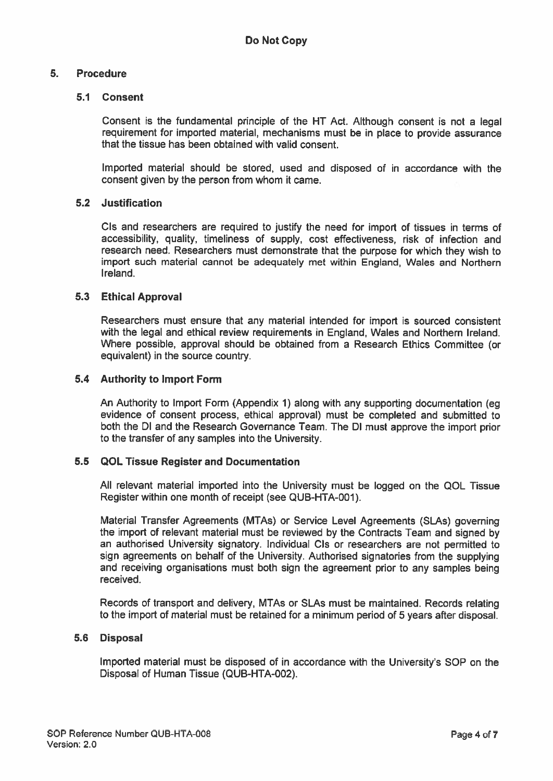## 5. Procedure

## 5.1 Consent

Consent is the fundamental principle of the HT Act. Although consent is not <sup>a</sup> legal requirement for imported material, mechanisms must be in <sup>p</sup>lace to provide assurance that the tissue has been obtained with valid consent.

Imported material should be stored, used and disposed of in accordance with the consent given by the person from whom it came.

## 5.2 Justification

CIs and researchers are required to justify the need for import of tissues in terms of accessibility, quality, timeliness of supply, cost effectiveness, risk of infection and research need. Researchers must demonstrate that the purpose for which they wish to import such material cannot be adequately met within England, Wales and Northern Ireland.

### 5.3 Ethical Approval

Researchers must ensure that any material intended for import is sourced consistent with the legal and ethical review requirements in England, Wales and Northern Ireland. Where possible, approval should be obtained from <sup>a</sup> Research Ethics Committee (or equivalent) in the source country.

### 5.4 Authority to Import Form

An Authority to Import Form (Appendix 1) along with any supporting documentation (eg evidence of consent process, ethical approval) must be completed and submitted to both the Dl and the Research Governance Team. The Dl must approve the import prior to the transfer of any samples into the University.

#### 5.5 QOL Tissue Register and Documentation

All relevant material imported into the University must be logged on the QOL Tissue Register within one month of receipt (see QUB-HTA-OO1).

Material Transfer Agreements (MTAs) or Service Level Agreements (SLAs) governing the import of relevant material must be reviewed by the Contracts Team and signed by an authorised University signatory. Individual CIs or researchers are not permitted to sign agreements on behalf of the University. Authorised signatories from the supplying and receiving organisations must both sign the agreemen<sup>t</sup> prior to any samples being received.

Records of transport and delivery, MTAs or SLAs must be maintained, Records relating to the import of material must be retained for <sup>a</sup> minimum period of 5 years after disposal.

## 5.6 Disposal

Imported material must be disposed of in accordance with the University's SOP on the Disposal of Human Tissue (QUB-HTA-002).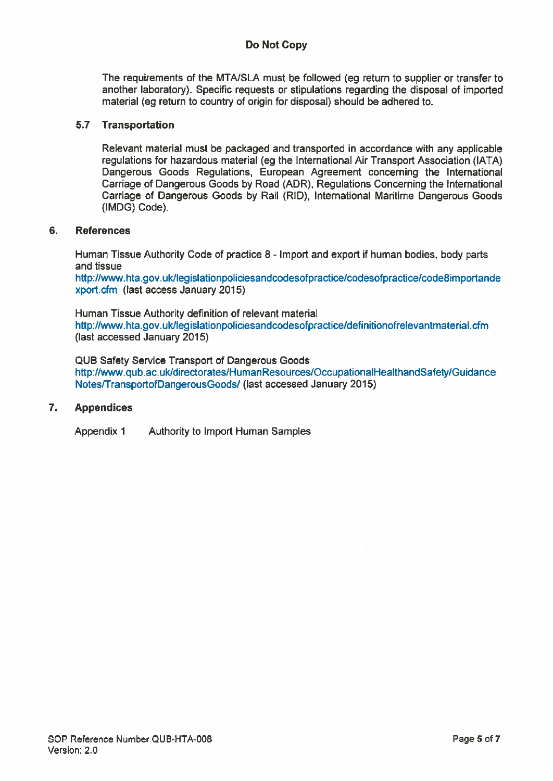## Do Not Copy

The requirements of the MTNSLA must be followed (eg return to supplier or transfer to another laboratory). Specific requests or stipulations regarding the disposal of imported material (eg return to country of origin for disposal) should be adhered to.

## 5.7 Transportation

Relevant material must be packaged and transported in accordance with any applicable regulations for hazardous material (eg the International Air Transport Association (IATA) Dangerous Goods Regulations, European Agreement concerning the International Carriage of Dangerous Goods by Road (ADR), Regulations Concerning the International Carriage of Dangerous Goods by Rail (RID), International Maritime Dangerous Goods (IMDG) Code).

### 6. References

Human Tissue Authority Code of practice 8 - Import and expor<sup>t</sup> if human bodies, body parts and tissue

http:Hwww.hta.gov.uk/legislationpoliciesandcodesofpractice/codesofpractice/code8importande xport.cfm (last access January 2015)

Human Tissue Authority definition of relevant material httpi/www.hta.gov.uk/Iegislationpoliciesandcodesofpractice/definitionofrelevantmaterial.cfm (last accessed January 2015)

QUB Safety Service Transport of Dangerous Goods http://www.qub.ac.ukldirectorates/HumanResources/OccupationalHealthandSafety/Guidance NotesffransportofDangerousGoods/ (last accessed January 2015)

#### 7. Appendices

Appendix 1 Authority to Import Human Samples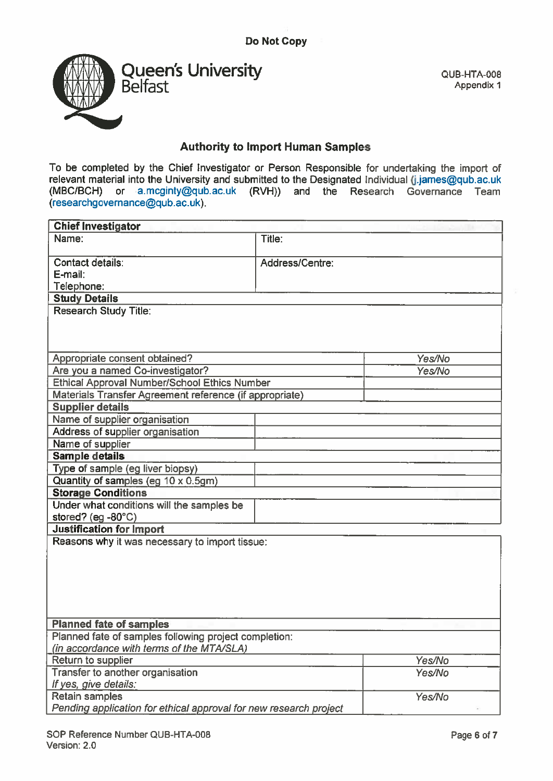

QUB-HTA-008 Appendix 1

# Authority to Import Human Samples

To be completed by the Chief Investigator or Person Responsible for undertaking the import of relevant material into the University and submitted to the Designated Individual (j.james@qub.ac.uk (MBC/BCH) or a.mcginty@qub.ac.uk (RVH)) and the Research Governance Team (researchgovernance@qub.ac.uk).

| <b>Chief Investigator</b>                                         |                 |        |
|-------------------------------------------------------------------|-----------------|--------|
| Name:                                                             | Title:          |        |
| Contact details:                                                  | Address/Centre: |        |
| E-mail:                                                           |                 |        |
| Telephone:                                                        |                 |        |
| <b>Study Details</b>                                              |                 |        |
| <b>Research Study Title:</b>                                      |                 |        |
|                                                                   |                 |        |
| Appropriate consent obtained?                                     |                 | Yes/No |
| Are you a named Co-investigator?                                  |                 | Yes/No |
| <b>Ethical Approval Number/School Ethics Number</b>               |                 |        |
| Materials Transfer Agreement reference (if appropriate)           |                 |        |
| <b>Supplier details</b>                                           |                 |        |
| Name of supplier organisation                                     |                 |        |
| Address of supplier organisation                                  |                 |        |
| Name of supplier                                                  |                 |        |
| <b>Sample details</b>                                             |                 |        |
| Type of sample (eg liver biopsy)                                  |                 |        |
| Quantity of samples (eg 10 x 0.5gm)                               |                 |        |
| <b>Storage Conditions</b>                                         |                 |        |
| Under what conditions will the samples be                         |                 |        |
| stored? (eg -80°C)                                                |                 |        |
| <b>Justification for Import</b>                                   |                 |        |
| Reasons why it was necessary to import tissue:                    |                 |        |
|                                                                   |                 |        |
|                                                                   |                 |        |
|                                                                   |                 |        |
|                                                                   |                 |        |
|                                                                   |                 |        |
| <b>Planned fate of samples</b>                                    |                 |        |
| Planned fate of samples following project completion:             |                 |        |
| (in accordance with terms of the MTA/SLA)                         |                 |        |
| Return to supplier                                                |                 | Yes/No |
| Transfer to another organisation                                  |                 | Yes/No |
| If yes, give details:                                             |                 |        |
| <b>Retain samples</b>                                             |                 | Yes/No |
| Pending application for ethical approval for new research project |                 |        |